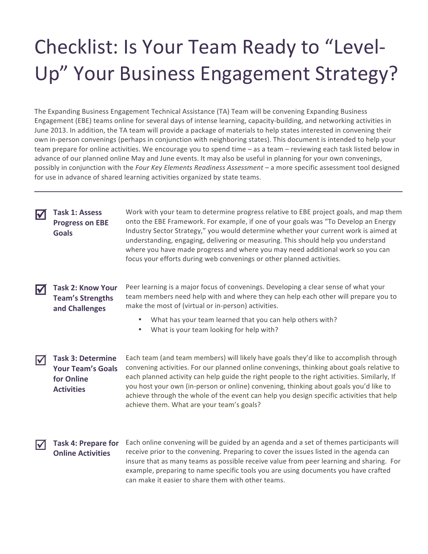## Checklist: Is Your Team Ready to "Level-Up" Your Business Engagement Strategy?

The Expanding Business Engagement Technical Assistance (TA) Team will be convening Expanding Business Engagement (EBE) teams online for several days of intense learning, capacity-building, and networking activities in June 2013. In addition, the TA team will provide a package of materials to help states interested in convening their own in-person convenings (perhaps in conjunction with neighboring states). This document is intended to help your team prepare for online activities. We encourage you to spend time – as a team – reviewing each task listed below in advance of our planned online May and June events. It may also be useful in planning for your own convenings, possibly in conjunction with the *Four Key Elements Readiness Assessment* – a more specific assessment tool designed for use in advance of shared learning activities organized by state teams.

Task 1: Assess **Progress on EBE Goals**

Work with your team to determine progress relative to EBE project goals, and map them onto the EBE Framework. For example, if one of your goals was "To Develop an Energy Industry Sector Strategy," you would determine whether your current work is aimed at understanding, engaging, delivering or measuring. This should help you understand where you have made progress and where you may need additional work so you can focus your efforts during web convenings or other planned activities.

**Task 2: Know Your Team's Strengths and Challenges**

Peer learning is a major focus of convenings. Developing a clear sense of what your team members need help with and where they can help each other will prepare you to make the most of (virtual or in-person) activities.

- What has your team learned that you can help others with?
- What is your team looking for help with?

**Task 3: Determine** Your Team's Goals **for Online Activities**

Each team (and team members) will likely have goals they'd like to accomplish through convening activities. For our planned online convenings, thinking about goals relative to each planned activity can help guide the right people to the right activities. Similarly, If you host your own (in-person or online) convening, thinking about goals you'd like to achieve through the whole of the event can help you design specific activities that help achieve them. What are your team's goals?

**Task 4: Prepare for Online Activities** 

Each online convening will be guided by an agenda and a set of themes participants will receive prior to the convening. Preparing to cover the issues listed in the agenda can insure that as many teams as possible receive value from peer learning and sharing. For example, preparing to name specific tools you are using documents you have crafted can make it easier to share them with other teams.